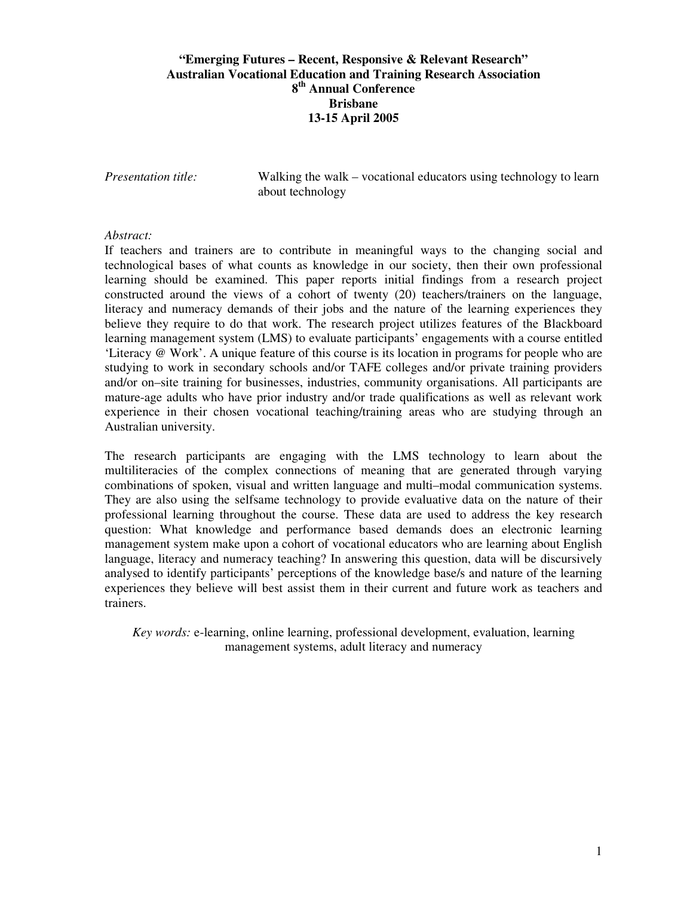# **"Emerging Futures – Recent, Responsive & Relevant Research" Australian Vocational Education and Training Research Association 8 th Annual Conference Brisbane 13-15 April 2005**

*Presentation title:* Walking the walk – vocational educators using technology to learn about technology

### *Abstract:*

If teachers and trainers are to contribute in meaningful ways to the changing social and technological bases of what counts as knowledge in our society, then their own professional learning should be examined. This paper reports initial findings from a research project constructed around the views of a cohort of twenty (20) teachers/trainers on the language, literacy and numeracy demands of their jobs and the nature of the learning experiences they believe they require to do that work. The research project utilizes features of the Blackboard learning management system (LMS) to evaluate participants' engagements with a course entitled 'Literacy @ Work'. A unique feature of this course is its location in programs for people who are studying to work in secondary schools and/or TAFE colleges and/or private training providers and/or on–site training for businesses, industries, community organisations. All participants are mature-age adults who have prior industry and/or trade qualifications as well as relevant work experience in their chosen vocational teaching/training areas who are studying through an Australian university.

The research participants are engaging with the LMS technology to learn about the multiliteracies of the complex connections of meaning that are generated through varying combinations of spoken, visual and written language and multi–modal communication systems. They are also using the selfsame technology to provide evaluative data on the nature of their professional learning throughout the course. These data are used to address the key research question: What knowledge and performance based demands does an electronic learning management system make upon a cohort of vocational educators who are learning about English language, literacy and numeracy teaching? In answering this question, data will be discursively analysed to identify participants' perceptions of the knowledge base/s and nature of the learning experiences they believe will best assist them in their current and future work as teachers and trainers.

*Key words:* e-learning, online learning, professional development, evaluation, learning management systems, adult literacy and numeracy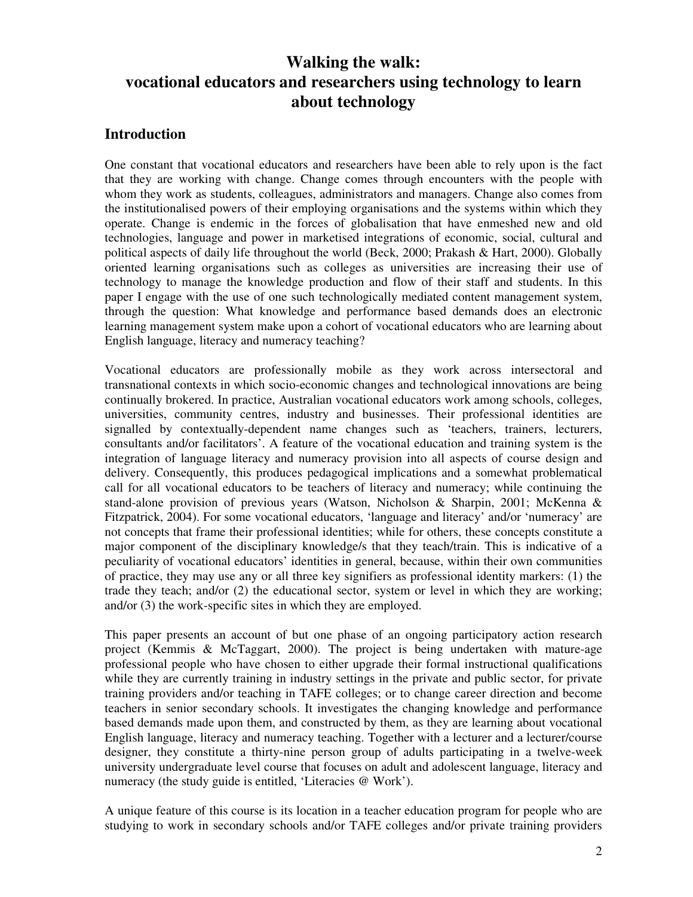# **Walking the walk: vocational educators and researchers using technology to learn about technology**

# **Introduction**

One constant that vocational educators and researchers have been able to rely upon is the fact that they are working with change. Change comes through encounters with the people with whom they work as students, colleagues, administrators and managers. Change also comes from the institutionalised powers of their employing organisations and the systems within which they operate. Change is endemic in the forces of globalisation that have enmeshed new and old technologies, language and power in marketised integrations of economic, social, cultural and political aspects of daily life throughout the world (Beck, 2000; Prakash & Hart, 2000). Globally oriented learning organisations such as colleges as universities are increasing their use of technology to manage the knowledge production and flow of their staff and students. In this paper I engage with the use of one such technologically mediated content management system, through the question: What knowledge and performance based demands does an electronic learning management system make upon a cohort of vocational educators who are learning about English language, literacy and numeracy teaching?

Vocational educators are professionally mobile as they work across intersectoral and transnational contexts in which socio-economic changes and technological innovations are being continually brokered. In practice, Australian vocational educators work among schools, colleges, universities, community centres, industry and businesses. Their professional identities are signalled by contextually-dependent name changes such as 'teachers, trainers, lecturers, consultants and/or facilitators'. A feature of the vocational education and training system is the integration of language literacy and numeracy provision into all aspects of course design and delivery. Consequently, this produces pedagogical implications and a somewhat problematical call for all vocational educators to be teachers of literacy and numeracy; while continuing the stand-alone provision of previous years (Watson, Nicholson & Sharpin, 2001; McKenna & Fitzpatrick, 2004). For some vocational educators, 'language and literacy' and/or 'numeracy' are not concepts that frame their professional identities; while for others, these concepts constitute a major component of the disciplinary knowledge/s that they teach/train. This is indicative of a peculiarity of vocational educators' identities in general, because, within their own communities of practice, they may use any or all three key signifiers as professional identity markers: (1) the trade they teach; and/or (2) the educational sector, system or level in which they are working; and/or (3) the work-specific sites in which they are employed.

This paper presents an account of but one phase of an ongoing participatory action research project (Kemmis & McTaggart, 2000). The project is being undertaken with mature-age professional people who have chosen to either upgrade their formal instructional qualifications while they are currently training in industry settings in the private and public sector, for private training providers and/or teaching in TAFE colleges; or to change career direction and become teachers in senior secondary schools. It investigates the changing knowledge and performance based demands made upon them, and constructed by them, as they are learning about vocational English language, literacy and numeracy teaching. Together with a lecturer and a lecturer/course designer, they constitute a thirty-nine person group of adults participating in a twelve-week university undergraduate level course that focuses on adult and adolescent language, literacy and numeracy (the study guide is entitled, 'Literacies @ Work').

A unique feature of this course is its location in a teacher education program for people who are studying to work in secondary schools and/or TAFE colleges and/or private training providers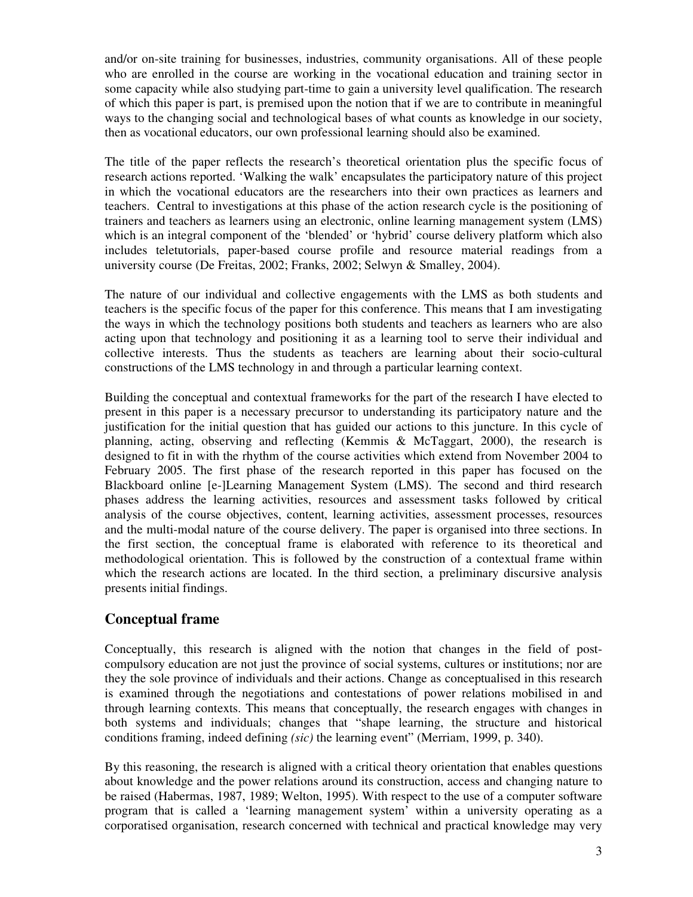and/or on-site training for businesses, industries, community organisations. All of these people who are enrolled in the course are working in the vocational education and training sector in some capacity while also studying part-time to gain a university level qualification. The research of which this paper is part, is premised upon the notion that if we are to contribute in meaningful ways to the changing social and technological bases of what counts as knowledge in our society, then as vocational educators, our own professional learning should also be examined.

The title of the paper reflects the research's theoretical orientation plus the specific focus of research actions reported. 'Walking the walk' encapsulates the participatory nature of this project in which the vocational educators are the researchers into their own practices as learners and teachers. Central to investigations at this phase of the action research cycle is the positioning of trainers and teachers as learners using an electronic, online learning management system (LMS) which is an integral component of the 'blended' or 'hybrid' course delivery platform which also includes teletutorials, paper-based course profile and resource material readings from a university course (De Freitas, 2002; Franks, 2002; Selwyn & Smalley, 2004).

The nature of our individual and collective engagements with the LMS as both students and teachers is the specific focus of the paper for this conference. This means that I am investigating the ways in which the technology positions both students and teachers as learners who are also acting upon that technology and positioning it as a learning tool to serve their individual and collective interests. Thus the students as teachers are learning about their socio-cultural constructions of the LMS technology in and through a particular learning context.

Building the conceptual and contextual frameworks for the part of the research I have elected to present in this paper is a necessary precursor to understanding its participatory nature and the justification for the initial question that has guided our actions to this juncture. In this cycle of planning, acting, observing and reflecting (Kemmis & McTaggart, 2000), the research is designed to fit in with the rhythm of the course activities which extend from November 2004 to February 2005. The first phase of the research reported in this paper has focused on the Blackboard online [e-]Learning Management System (LMS). The second and third research phases address the learning activities, resources and assessment tasks followed by critical analysis of the course objectives, content, learning activities, assessment processes, resources and the multi-modal nature of the course delivery. The paper is organised into three sections. In the first section, the conceptual frame is elaborated with reference to its theoretical and methodological orientation. This is followed by the construction of a contextual frame within which the research actions are located. In the third section, a preliminary discursive analysis presents initial findings.

# **Conceptual frame**

Conceptually, this research is aligned with the notion that changes in the field of postcompulsory education are not just the province of social systems, cultures or institutions; nor are they the sole province of individuals and their actions. Change as conceptualised in this research is examined through the negotiations and contestations of power relations mobilised in and through learning contexts. This means that conceptually, the research engages with changes in both systems and individuals; changes that "shape learning, the structure and historical conditions framing, indeed defining *(sic)* the learning event" (Merriam, 1999, p. 340).

By this reasoning, the research is aligned with a critical theory orientation that enables questions about knowledge and the power relations around its construction, access and changing nature to be raised (Habermas, 1987, 1989; Welton, 1995). With respect to the use of a computer software program that is called a 'learning management system' within a university operating as a corporatised organisation, research concerned with technical and practical knowledge may very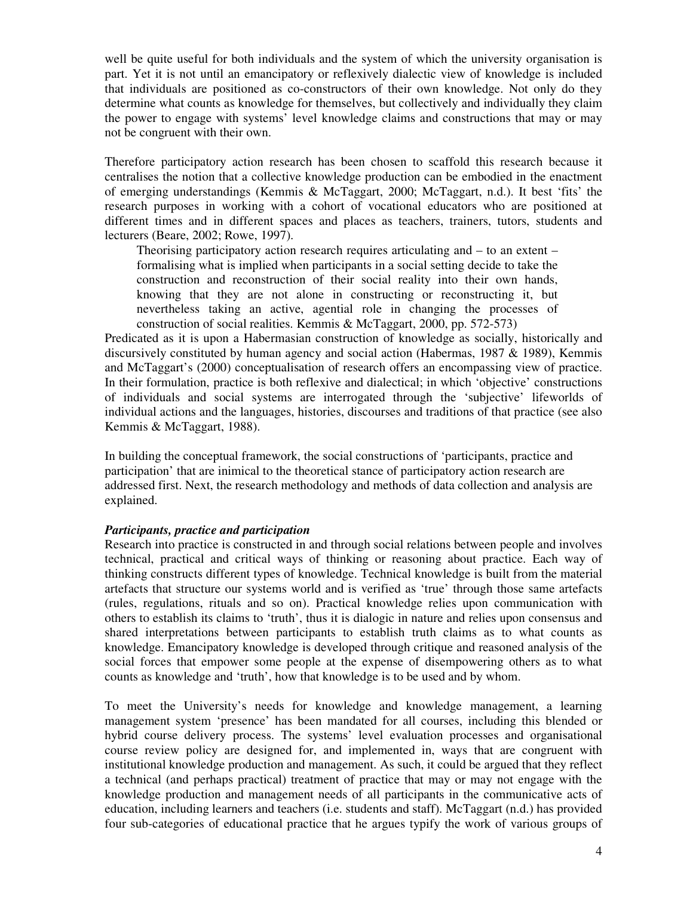well be quite useful for both individuals and the system of which the university organisation is part. Yet it is not until an emancipatory or reflexively dialectic view of knowledge is included that individuals are positioned as co-constructors of their own knowledge. Not only do they determine what counts as knowledge for themselves, but collectively and individually they claim the power to engage with systems' level knowledge claims and constructions that may or may not be congruent with their own.

Therefore participatory action research has been chosen to scaffold this research because it centralises the notion that a collective knowledge production can be embodied in the enactment of emerging understandings (Kemmis & McTaggart, 2000; McTaggart, n.d.). It best 'fits' the research purposes in working with a cohort of vocational educators who are positioned at different times and in different spaces and places as teachers, trainers, tutors, students and lecturers (Beare, 2002; Rowe, 1997).

Theorising participatory action research requires articulating and – to an extent – formalising what is implied when participants in a social setting decide to take the construction and reconstruction of their social reality into their own hands, knowing that they are not alone in constructing or reconstructing it, but nevertheless taking an active, agential role in changing the processes of construction of social realities. Kemmis & McTaggart, 2000, pp. 572-573)

Predicated as it is upon a Habermasian construction of knowledge as socially, historically and discursively constituted by human agency and social action (Habermas, 1987 & 1989), Kemmis and McTaggart's (2000) conceptualisation of research offers an encompassing view of practice. In their formulation, practice is both reflexive and dialectical; in which 'objective' constructions of individuals and social systems are interrogated through the 'subjective' lifeworlds of individual actions and the languages, histories, discourses and traditions of that practice (see also Kemmis & McTaggart, 1988).

In building the conceptual framework, the social constructions of 'participants, practice and participation' that are inimical to the theoretical stance of participatory action research are addressed first. Next, the research methodology and methods of data collection and analysis are explained.

## *Participants, practice and participation*

Research into practice is constructed in and through social relations between people and involves technical, practical and critical ways of thinking or reasoning about practice. Each way of thinking constructs different types of knowledge. Technical knowledge is built from the material artefacts that structure our systems world and is verified as 'true' through those same artefacts (rules, regulations, rituals and so on). Practical knowledge relies upon communication with others to establish its claims to 'truth', thus it is dialogic in nature and relies upon consensus and shared interpretations between participants to establish truth claims as to what counts as knowledge. Emancipatory knowledge is developed through critique and reasoned analysis of the social forces that empower some people at the expense of disempowering others as to what counts as knowledge and 'truth', how that knowledge is to be used and by whom.

To meet the University's needs for knowledge and knowledge management, a learning management system 'presence' has been mandated for all courses, including this blended or hybrid course delivery process. The systems' level evaluation processes and organisational course review policy are designed for, and implemented in, ways that are congruent with institutional knowledge production and management. As such, it could be argued that they reflect a technical (and perhaps practical) treatment of practice that may or may not engage with the knowledge production and management needs of all participants in the communicative acts of education, including learners and teachers (i.e. students and staff). McTaggart (n.d.) has provided four sub-categories of educational practice that he argues typify the work of various groups of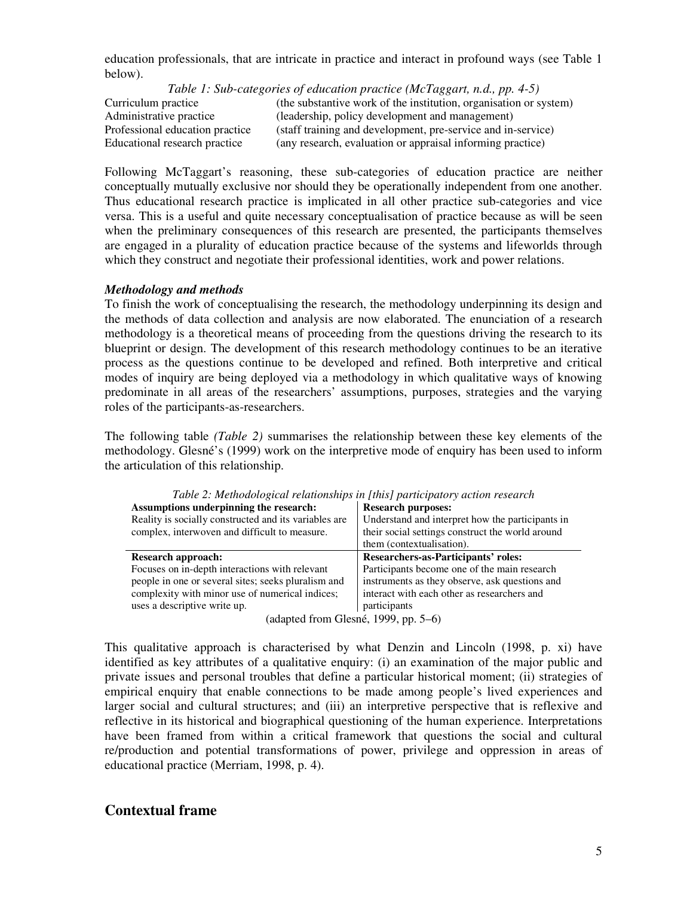education professionals, that are intricate in practice and interact in profound ways (see Table 1 below).

*Table 1: Sub-categories of education practice (McTaggart, n.d., pp. 4-5)*

Curriculum practice (the substantive work of the institution, organisation or system) Administrative practice (leadership, policy development and management) Professional education practice (staff training and development, pre-service and in-service) Educational research practice (any research, evaluation or appraisal informing practice)

Following McTaggart's reasoning, these sub-categories of education practice are neither conceptually mutually exclusive nor should they be operationally independent from one another. Thus educational research practice is implicated in all other practice sub-categories and vice versa. This is a useful and quite necessary conceptualisation of practice because as will be seen when the preliminary consequences of this research are presented, the participants themselves are engaged in a plurality of education practice because of the systems and lifeworlds through which they construct and negotiate their professional identities, work and power relations.

## *Methodology and methods*

To finish the work of conceptualising the research, the methodology underpinning its design and the methods of data collection and analysis are now elaborated. The enunciation of a research methodology is a theoretical means of proceeding from the questions driving the research to its blueprint or design. The development of this research methodology continues to be an iterative process as the questions continue to be developed and refined. Both interpretive and critical modes of inquiry are being deployed via a methodology in which qualitative ways of knowing predominate in all areas of the researchers' assumptions, purposes, strategies and the varying roles of the participants-as-researchers.

The following table *(Table 2)* summarises the relationship between these key elements of the methodology. Glesné's (1999) work on the interpretive mode of enquiry has been used to inform the articulation of this relationship.

| Assumptions underpinning the research:<br>Reality is socially constructed and its variables are<br>complex, interwoven and difficult to measure. | <b>Research purposes:</b><br>Understand and interpret how the participants in<br>their social settings construct the world around<br>them (contextualisation). |
|--------------------------------------------------------------------------------------------------------------------------------------------------|----------------------------------------------------------------------------------------------------------------------------------------------------------------|
| <b>Research approach:</b>                                                                                                                        | Researchers-as-Participants' roles:                                                                                                                            |
| Focuses on in-depth interactions with relevant                                                                                                   | Participants become one of the main research                                                                                                                   |
| people in one or several sites; seeks pluralism and                                                                                              | instruments as they observe, ask questions and                                                                                                                 |
| complexity with minor use of numerical indices;                                                                                                  | interact with each other as researchers and                                                                                                                    |
| uses a descriptive write up.                                                                                                                     | participants                                                                                                                                                   |
| (adapted from Glesné, 1999, pp. 5–6)                                                                                                             |                                                                                                                                                                |

*Table 2: Methodological relationships in [this] participatory action research*

This qualitative approach is characterised by what Denzin and Lincoln (1998, p. xi) have identified as key attributes of a qualitative enquiry: (i) an examination of the major public and private issues and personal troubles that define a particular historical moment; (ii) strategies of empirical enquiry that enable connections to be made among people's lived experiences and larger social and cultural structures; and (iii) an interpretive perspective that is reflexive and reflective in its historical and biographical questioning of the human experience. Interpretations have been framed from within a critical framework that questions the social and cultural re/production and potential transformations of power, privilege and oppression in areas of educational practice (Merriam, 1998, p. 4).

# **Contextual frame**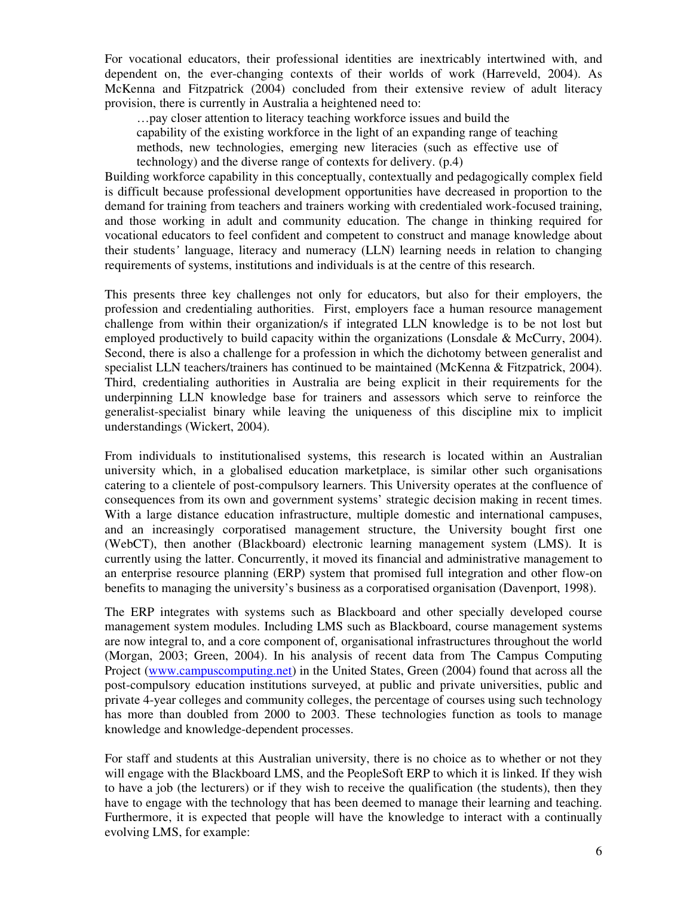For vocational educators, their professional identities are inextricably intertwined with, and dependent on, the ever-changing contexts of their worlds of work (Harreveld, 2004). As McKenna and Fitzpatrick (2004) concluded from their extensive review of adult literacy provision, there is currently in Australia a heightened need to:

…pay closer attention to literacy teaching workforce issues and build the capability of the existing workforce in the light of an expanding range of teaching methods, new technologies, emerging new literacies (such as effective use of technology) and the diverse range of contexts for delivery. (p.4)

Building workforce capability in this conceptually, contextually and pedagogically complex field is difficult because professional development opportunities have decreased in proportion to the demand for training from teachers and trainers working with credentialed work-focused training, and those working in adult and community education. The change in thinking required for vocational educators to feel confident and competent to construct and manage knowledge about their students*'* language, literacy and numeracy (LLN) learning needs in relation to changing requirements of systems, institutions and individuals is at the centre of this research.

This presents three key challenges not only for educators, but also for their employers, the profession and credentialing authorities. First, employers face a human resource management challenge from within their organization/s if integrated LLN knowledge is to be not lost but employed productively to build capacity within the organizations (Lonsdale & McCurry, 2004). Second, there is also a challenge for a profession in which the dichotomy between generalist and specialist LLN teachers/trainers has continued to be maintained (McKenna & Fitzpatrick, 2004). Third, credentialing authorities in Australia are being explicit in their requirements for the underpinning LLN knowledge base for trainers and assessors which serve to reinforce the generalist-specialist binary while leaving the uniqueness of this discipline mix to implicit understandings (Wickert, 2004).

From individuals to institutionalised systems, this research is located within an Australian university which, in a globalised education marketplace, is similar other such organisations catering to a clientele of post-compulsory learners. This University operates at the confluence of consequences from its own and government systems' strategic decision making in recent times. With a large distance education infrastructure, multiple domestic and international campuses, and an increasingly corporatised management structure, the University bought first one (WebCT), then another (Blackboard) electronic learning management system (LMS). It is currently using the latter. Concurrently, it moved its financial and administrative management to an enterprise resource planning (ERP) system that promised full integration and other flow-on benefits to managing the university's business as a corporatised organisation (Davenport, 1998).

The ERP integrates with systems such as Blackboard and other specially developed course management system modules. Including LMS such as Blackboard, course management systems are now integral to, and a core component of, organisational infrastructures throughout the world (Morgan, 2003; Green, 2004). In his analysis of recent data from The Campus Computing Project (www.campuscomputing.net) in the United States, Green (2004) found that across all the post-compulsory education institutions surveyed, at public and private universities, public and private 4-year colleges and community colleges, the percentage of courses using such technology has more than doubled from 2000 to 2003. These technologies function as tools to manage knowledge and knowledge-dependent processes.

For staff and students at this Australian university, there is no choice as to whether or not they will engage with the Blackboard LMS, and the PeopleSoft ERP to which it is linked. If they wish to have a job (the lecturers) or if they wish to receive the qualification (the students), then they have to engage with the technology that has been deemed to manage their learning and teaching. Furthermore, it is expected that people will have the knowledge to interact with a continually evolving LMS, for example: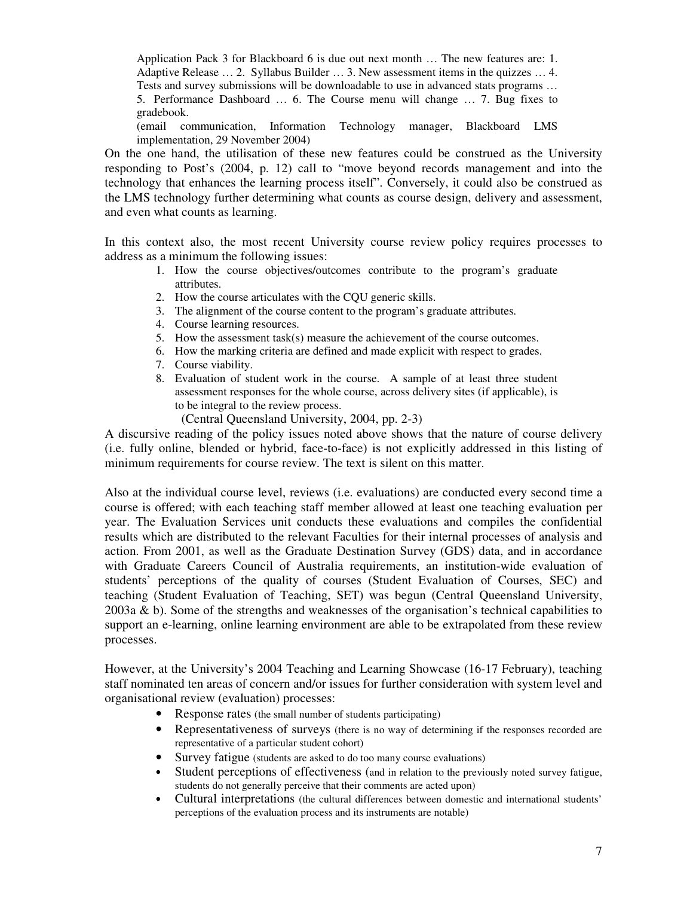Application Pack 3 for Blackboard 6 is due out next month … The new features are: 1. Adaptive Release … 2. Syllabus Builder … 3. New assessment items in the quizzes … 4. Tests and survey submissions will be downloadable to use in advanced stats programs … 5. Performance Dashboard … 6. The Course menu will change … 7. Bug fixes to gradebook.

(email communication, Information Technology manager, Blackboard LMS implementation, 29 November 2004)

On the one hand, the utilisation of these new features could be construed as the University responding to Post's (2004, p. 12) call to "move beyond records management and into the technology that enhances the learning process itself". Conversely, it could also be construed as the LMS technology further determining what counts as course design, delivery and assessment, and even what counts as learning.

In this context also, the most recent University course review policy requires processes to address as a minimum the following issues:

- 1. How the course objectives/outcomes contribute to the program's graduate attributes.
- 2. How the course articulates with the CQU generic skills.
- 3. The alignment of the course content to the program's graduate attributes.
- 4. Course learning resources.
- 5. How the assessment task(s) measure the achievement of the course outcomes.
- 6. How the marking criteria are defined and made explicit with respect to grades.
- 7. Course viability.
- 8. Evaluation of student work in the course. A sample of at least three student assessment responses for the whole course, across delivery sites (if applicable), is to be integral to the review process.
	- (Central Queensland University, 2004, pp. 2-3)

A discursive reading of the policy issues noted above shows that the nature of course delivery (i.e. fully online, blended or hybrid, face-to-face) is not explicitly addressed in this listing of minimum requirements for course review. The text is silent on this matter.

Also at the individual course level, reviews (i.e. evaluations) are conducted every second time a course is offered; with each teaching staff member allowed at least one teaching evaluation per year. The Evaluation Services unit conducts these evaluations and compiles the confidential results which are distributed to the relevant Faculties for their internal processes of analysis and action. From 2001, as well as the Graduate Destination Survey (GDS) data, and in accordance with Graduate Careers Council of Australia requirements, an institution-wide evaluation of students' perceptions of the quality of courses (Student Evaluation of Courses, SEC) and teaching (Student Evaluation of Teaching, SET) was begun (Central Queensland University, 2003a & b). Some of the strengths and weaknesses of the organisation's technical capabilities to support an e-learning, online learning environment are able to be extrapolated from these review processes.

However, at the University's 2004 Teaching and Learning Showcase (16-17 February), teaching staff nominated ten areas of concern and/or issues for further consideration with system level and organisational review (evaluation) processes:

- Response rates (the small number of students participating)
- Representativeness of surveys (there is no way of determining if the responses recorded are representative of a particular student cohort)
- Survey fatigue (students are asked to do too many course evaluations)
- Student perceptions of effectiveness (and in relation to the previously noted survey fatigue, students do not generally perceive that their comments are acted upon)
- Cultural interpretations (the cultural differences between domestic and international students' perceptions of the evaluation process and its instruments are notable)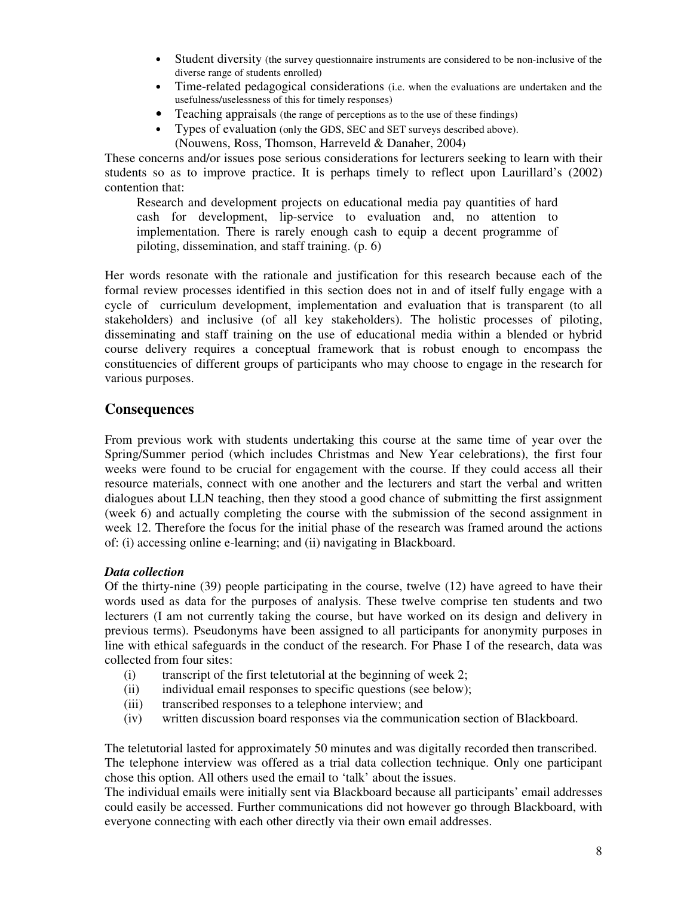- Student diversity (the survey questionnaire instruments are considered to be non-inclusive of the diverse range of students enrolled)
- Time-related pedagogical considerations (i.e. when the evaluations are undertaken and the usefulness/uselessness of this for timely responses)
- Teaching appraisals (the range of perceptions as to the use of these findings)
- Types of evaluation (only the GDS, SEC and SET surveys described above). (Nouwens, Ross, Thomson, Harreveld & Danaher, 2004)

These concerns and/or issues pose serious considerations for lecturers seeking to learn with their students so as to improve practice. It is perhaps timely to reflect upon Laurillard's (2002) contention that:

Research and development projects on educational media pay quantities of hard cash for development, lip-service to evaluation and, no attention to implementation. There is rarely enough cash to equip a decent programme of piloting, dissemination, and staff training. (p. 6)

Her words resonate with the rationale and justification for this research because each of the formal review processes identified in this section does not in and of itself fully engage with a cycle of curriculum development, implementation and evaluation that is transparent (to all stakeholders) and inclusive (of all key stakeholders). The holistic processes of piloting, disseminating and staff training on the use of educational media within a blended or hybrid course delivery requires a conceptual framework that is robust enough to encompass the constituencies of different groups of participants who may choose to engage in the research for various purposes.

# **Consequences**

From previous work with students undertaking this course at the same time of year over the Spring/Summer period (which includes Christmas and New Year celebrations), the first four weeks were found to be crucial for engagement with the course. If they could access all their resource materials, connect with one another and the lecturers and start the verbal and written dialogues about LLN teaching, then they stood a good chance of submitting the first assignment (week 6) and actually completing the course with the submission of the second assignment in week 12. Therefore the focus for the initial phase of the research was framed around the actions of: (i) accessing online e-learning; and (ii) navigating in Blackboard.

## *Data collection*

Of the thirty-nine (39) people participating in the course, twelve (12) have agreed to have their words used as data for the purposes of analysis. These twelve comprise ten students and two lecturers (I am not currently taking the course, but have worked on its design and delivery in previous terms). Pseudonyms have been assigned to all participants for anonymity purposes in line with ethical safeguards in the conduct of the research. For Phase I of the research, data was collected from four sites:

- (i) transcript of the first teletutorial at the beginning of week  $2$ ;
- (ii) individual email responses to specific questions (see below);
- (iii) transcribed responses to a telephone interview; and
- (iv) written discussion board responses via the communication section of Blackboard.

The teletutorial lasted for approximately 50 minutes and was digitally recorded then transcribed. The telephone interview was offered as a trial data collection technique. Only one participant chose this option. All others used the email to 'talk' about the issues.

The individual emails were initially sent via Blackboard because all participants' email addresses could easily be accessed. Further communications did not however go through Blackboard, with everyone connecting with each other directly via their own email addresses.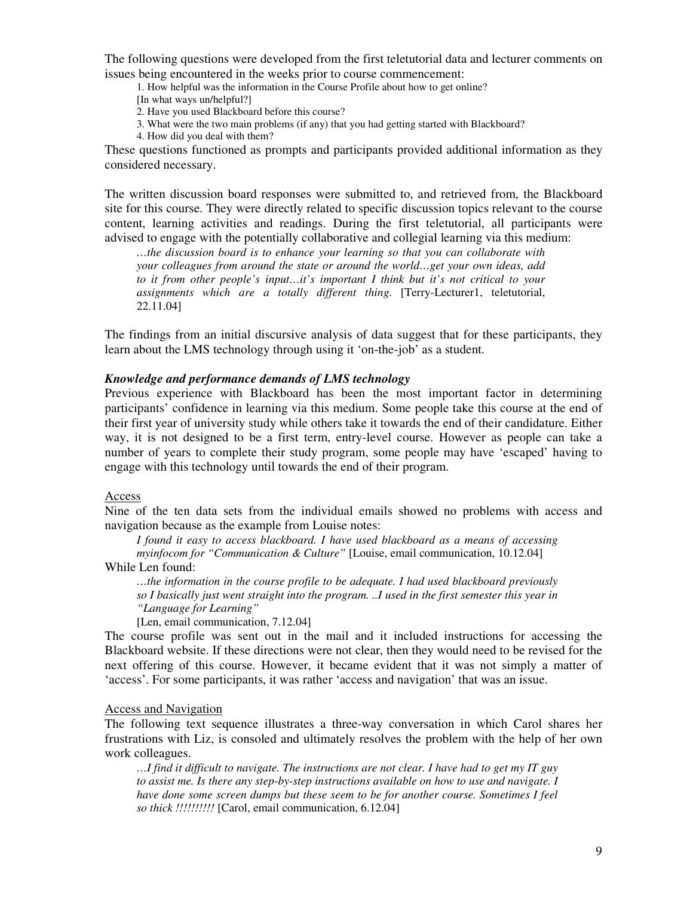The following questions were developed from the first teletutorial data and lecturer comments on issues being encountered in the weeks prior to course commencement:

- 1. How helpful was the information in the Course Profile about how to get online?
- [In what ways un/helpful?]
- 2. Have you used Blackboard before this course?
- 3. What were the two main problems (if any) that you had getting started with Blackboard?
- 4. How did you deal with them?

These questions functioned as prompts and participants provided additional information as they considered necessary.

The written discussion board responses were submitted to, and retrieved from, the Blackboard site for this course. They were directly related to specific discussion topics relevant to the course content, learning activities and readings. During the first teletutorial, all participants were advised to engage with the potentially collaborative and collegial learning via this medium:

*…the discussion board is to enhance your learning so that you can collaborate with your colleagues from around the state or around the world…get your own ideas, add to it from other people's input…it's important I think but it's not critical to your assignments which are a totally different thing*. [Terry-Lecturer1, teletutorial, 22.11.04]

The findings from an initial discursive analysis of data suggest that for these participants, they learn about the LMS technology through using it 'on-the-job' as a student.

#### *Knowledge and performance demands of LMS technology*

Previous experience with Blackboard has been the most important factor in determining participants' confidence in learning via this medium. Some people take this course at the end of their first year of university study while others take it towards the end of their candidature. Either way, it is not designed to be a first term, entry-level course. However as people can take a number of years to complete their study program, some people may have 'escaped' having to engage with this technology until towards the end of their program.

#### Access

Nine of the ten data sets from the individual emails showed no problems with access and navigation because as the example from Louise notes:

*I found it easy to access blackboard. I have used blackboard as a means of accessing*

*myinfocom for "Communication & Culture"* [Louise, email communication, 10.12.04] While Len found:

*…the information in the course profile to be adequate. I had used blackboard previously so I basically just went straight into the program. ..I used in the first semester this year in "Language for Learning"*

[Len, email communication, 7.12.04]

The course profile was sent out in the mail and it included instructions for accessing the Blackboard website. If these directions were not clear, then they would need to be revised for the next offering of this course. However, it became evident that it was not simply a matter of 'access'. For some participants, it was rather 'access and navigation' that was an issue.

## Access and Navigation

The following text sequence illustrates a three-way conversation in which Carol shares her frustrations with Liz, is consoled and ultimately resolves the problem with the help of her own work colleagues.

... I find it difficult to navigate. The instructions are not clear. I have had to get my IT guy *to assist me. Is there any step-by-step instructions available on how to use and navigate. I have done some screen dumps but these seem to be for another course. Sometimes I feel so thick !!!!!!!!!!* [Carol, email communication, 6.12.04]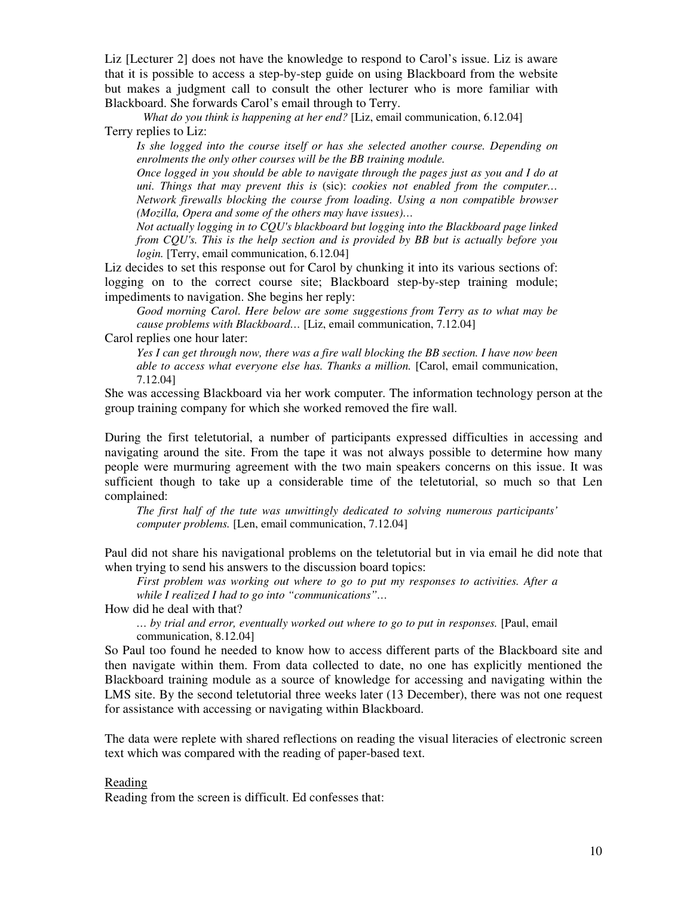Liz [Lecturer 2] does not have the knowledge to respond to Carol's issue. Liz is aware that it is possible to access a step-by-step guide on using Blackboard from the website but makes a judgment call to consult the other lecturer who is more familiar with Blackboard. She forwards Carol's email through to Terry.

*What do you think is happening at her end?* [Liz, email communication, 6.12.04] Terry replies to Liz:

*Is she logged into the course itself or has she selected another course. Depending on enrolments the only other courses will be the BB training module.*

*Once logged in you should be able to navigate through the pages just as you and I do at uni. Things that may prevent this is* (sic): *cookies not enabled from the computer… Network firewalls blocking the course from loading. Using a non compatible browser (Mozilla, Opera and some of the others may have issues)…*

*Not actually logging in to CQU's blackboard but logging into the Blackboard page linked from CQU's. This is the help section and is provided by BB but is actually before you login.* [Terry, email communication, 6.12.04]

Liz decides to set this response out for Carol by chunking it into its various sections of: logging on to the correct course site; Blackboard step-by-step training module; impediments to navigation. She begins her reply:

*Good morning Carol. Here below are some suggestions from Terry as to what may be cause problems with Blackboard…* [Liz, email communication, 7.12.04]

Carol replies one hour later:

*Yes I can get through now, there was a fire wall blocking the BB section. I have now been able to access what everyone else has. Thanks a million.* [Carol, email communication, 7.12.04]

She was accessing Blackboard via her work computer. The information technology person at the group training company for which she worked removed the fire wall.

During the first teletutorial, a number of participants expressed difficulties in accessing and navigating around the site. From the tape it was not always possible to determine how many people were murmuring agreement with the two main speakers concerns on this issue. It was sufficient though to take up a considerable time of the teletutorial, so much so that Len complained:

*The first half of the tute was unwittingly dedicated to solving numerous participants' computer problems.* [Len, email communication, 7.12.04]

Paul did not share his navigational problems on the teletutorial but in via email he did note that when trying to send his answers to the discussion board topics:

*First problem was working out where to go to put my responses to activities. After a while I realized I had to go into "communications"…*

How did he deal with that?

*… by trial and error, eventually worked out where to go to put in responses.* [Paul, email communication, 8.12.04]

So Paul too found he needed to know how to access different parts of the Blackboard site and then navigate within them. From data collected to date, no one has explicitly mentioned the Blackboard training module as a source of knowledge for accessing and navigating within the LMS site. By the second teletutorial three weeks later (13 December), there was not one request for assistance with accessing or navigating within Blackboard.

The data were replete with shared reflections on reading the visual literacies of electronic screen text which was compared with the reading of paper-based text.

#### Reading

Reading from the screen is difficult. Ed confesses that: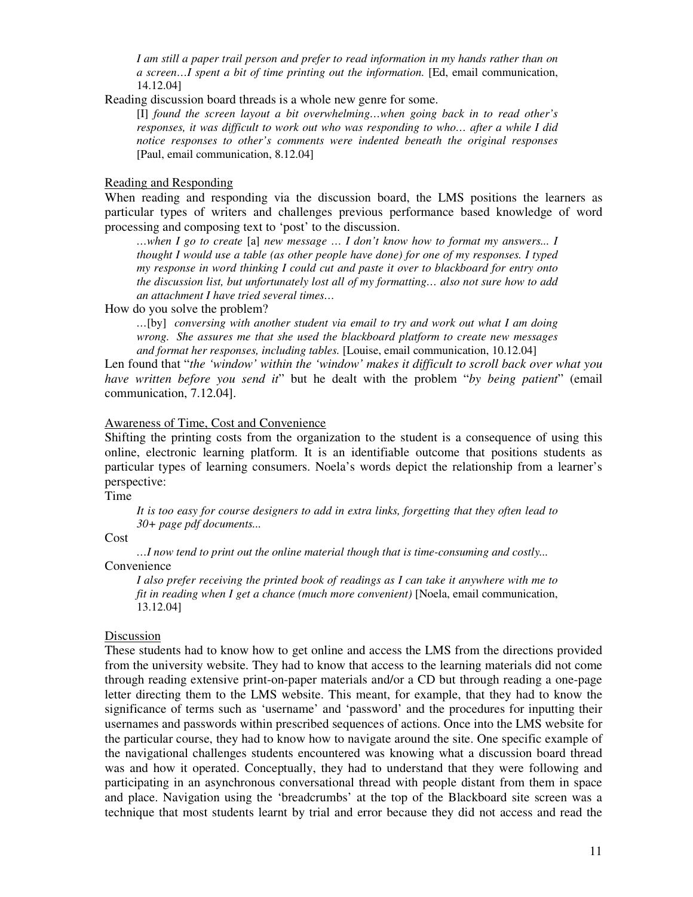*I am still a paper trail person and prefer to read information in my hands rather than on a screen…I spent a bit of time printing out the information.* [Ed, email communication, 14.12.04]

Reading discussion board threads is a whole new genre for some.

[I] *found the screen layout a bit overwhelming…when going back in to read other's responses, it was difficult to work out who was responding to who… after a while I did notice responses to other's comments were indented beneath the original responses* [Paul, email communication, 8.12.04]

#### Reading and Responding

When reading and responding via the discussion board, the LMS positions the learners as particular types of writers and challenges previous performance based knowledge of word processing and composing text to 'post' to the discussion.

*…when I go to create* [a] *new message … I don't know how to format my answers... I thought I would use a table (as other people have done) for one of my responses. I typed my response in word thinking I could cut and paste it over to blackboard for entry onto the discussion list, but unfortunately lost all of my formatting… also not sure how to add an attachment I have tried several times…*

How do you solve the problem?

*…*[by] *conversing with another student via email to try and work out what I am doing wrong. She assures me that she used the blackboard platform to create new messages and format her responses, including tables.* [Louise, email communication, 10.12.04]

Len found that "*the 'window' within the 'window' makes it difficult to scroll back over what you have written before you send it*" but he dealt with the problem "*by being patient*" (email communication, 7.12.04].

### Awareness of Time, Cost and Convenience

Shifting the printing costs from the organization to the student is a consequence of using this online, electronic learning platform. It is an identifiable outcome that positions students as particular types of learning consumers. Noela's words depict the relationship from a learner's perspective:

Time

*It is too easy for course designers to add in extra links, forgetting that they often lead to 30+ page pdf documents...*

Cost

*…I now tend to print out the online material though that is time-consuming and costly...* Convenience

*I also prefer receiving the printed book of readings as I can take it anywhere with me to fit in reading when I get a chance (much more convenient)* [Noela, email communication, 13.12.04]

### Discussion

These students had to know how to get online and access the LMS from the directions provided from the university website. They had to know that access to the learning materials did not come through reading extensive print-on-paper materials and/or a CD but through reading a one-page letter directing them to the LMS website. This meant, for example, that they had to know the significance of terms such as 'username' and 'password' and the procedures for inputting their usernames and passwords within prescribed sequences of actions. Once into the LMS website for the particular course, they had to know how to navigate around the site. One specific example of the navigational challenges students encountered was knowing what a discussion board thread was and how it operated. Conceptually, they had to understand that they were following and participating in an asynchronous conversational thread with people distant from them in space and place. Navigation using the 'breadcrumbs' at the top of the Blackboard site screen was a technique that most students learnt by trial and error because they did not access and read the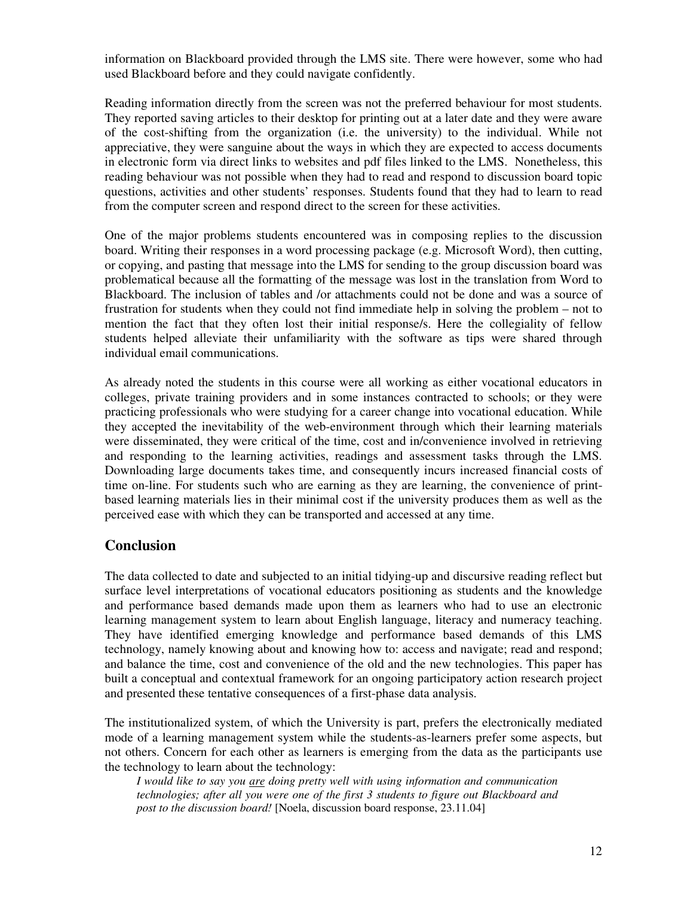information on Blackboard provided through the LMS site. There were however, some who had used Blackboard before and they could navigate confidently.

Reading information directly from the screen was not the preferred behaviour for most students. They reported saving articles to their desktop for printing out at a later date and they were aware of the cost-shifting from the organization (i.e. the university) to the individual. While not appreciative, they were sanguine about the ways in which they are expected to access documents in electronic form via direct links to websites and pdf files linked to the LMS. Nonetheless, this reading behaviour was not possible when they had to read and respond to discussion board topic questions, activities and other students' responses. Students found that they had to learn to read from the computer screen and respond direct to the screen for these activities.

One of the major problems students encountered was in composing replies to the discussion board. Writing their responses in a word processing package (e.g. Microsoft Word), then cutting, or copying, and pasting that message into the LMS for sending to the group discussion board was problematical because all the formatting of the message was lost in the translation from Word to Blackboard. The inclusion of tables and /or attachments could not be done and was a source of frustration for students when they could not find immediate help in solving the problem – not to mention the fact that they often lost their initial response/s. Here the collegiality of fellow students helped alleviate their unfamiliarity with the software as tips were shared through individual email communications.

As already noted the students in this course were all working as either vocational educators in colleges, private training providers and in some instances contracted to schools; or they were practicing professionals who were studying for a career change into vocational education. While they accepted the inevitability of the web-environment through which their learning materials were disseminated, they were critical of the time, cost and in/convenience involved in retrieving and responding to the learning activities, readings and assessment tasks through the LMS. Downloading large documents takes time, and consequently incurs increased financial costs of time on-line. For students such who are earning as they are learning, the convenience of printbased learning materials lies in their minimal cost if the university produces them as well as the perceived ease with which they can be transported and accessed at any time.

# **Conclusion**

The data collected to date and subjected to an initial tidying-up and discursive reading reflect but surface level interpretations of vocational educators positioning as students and the knowledge and performance based demands made upon them as learners who had to use an electronic learning management system to learn about English language, literacy and numeracy teaching. They have identified emerging knowledge and performance based demands of this LMS technology, namely knowing about and knowing how to: access and navigate; read and respond; and balance the time, cost and convenience of the old and the new technologies. This paper has built a conceptual and contextual framework for an ongoing participatory action research project and presented these tentative consequences of a first-phase data analysis.

The institutionalized system, of which the University is part, prefers the electronically mediated mode of a learning management system while the students-as-learners prefer some aspects, but not others. Concern for each other as learners is emerging from the data as the participants use the technology to learn about the technology:

*I would like to say you are doing pretty well with using information and communication technologies; after all you were one of the first 3 students to figure out Blackboard and post to the discussion board!* [Noela, discussion board response, 23.11.04]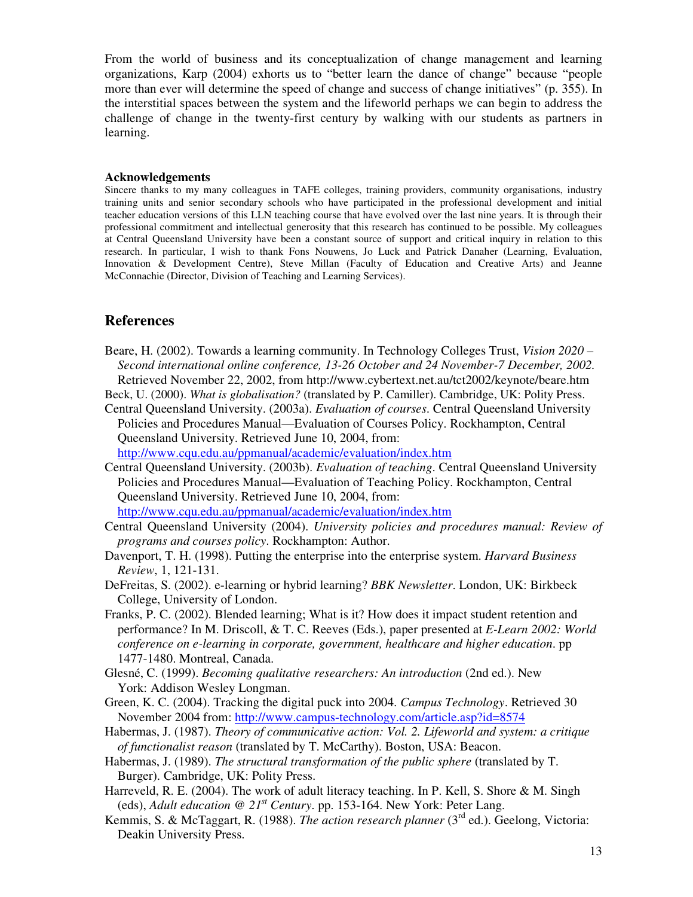From the world of business and its conceptualization of change management and learning organizations, Karp (2004) exhorts us to "better learn the dance of change" because "people more than ever will determine the speed of change and success of change initiatives" (p. 355). In the interstitial spaces between the system and the lifeworld perhaps we can begin to address the challenge of change in the twenty-first century by walking with our students as partners in learning.

#### **Acknowledgements**

Sincere thanks to my many colleagues in TAFE colleges, training providers, community organisations, industry training units and senior secondary schools who have participated in the professional development and initial teacher education versions of this LLN teaching course that have evolved over the last nine years. It is through their professional commitment and intellectual generosity that this research has continued to be possible. My colleagues at Central Queensland University have been a constant source of support and critical inquiry in relation to this research. In particular, I wish to thank Fons Nouwens, Jo Luck and Patrick Danaher (Learning, Evaluation, Innovation & Development Centre), Steve Millan (Faculty of Education and Creative Arts) and Jeanne McConnachie (Director, Division of Teaching and Learning Services).

# **References**

- Beare, H. (2002). Towards a learning community. In Technology Colleges Trust, *Vision 2020 – Second international online conference, 13-26 October and 24 November-7 December, 2002.* Retrieved November 22, 2002, from http://www.cybertext.net.au/tct2002/keynote/beare.htm
- Beck, U. (2000). *What is globalisation?* (translated by P. Camiller). Cambridge, UK: Polity Press.
- Central Queensland University. (2003a). *Evaluation of courses*. Central Queensland University Policies and Procedures Manual—Evaluation of Courses Policy. Rockhampton, Central Queensland University. Retrieved June 10, 2004, from:

http://www.cqu.edu.au/ppmanual/academic/evaluation/index.htm

- Central Queensland University. (2003b). *Evaluation of teaching*. Central Queensland University Policies and Procedures Manual—Evaluation of Teaching Policy. Rockhampton, Central Queensland University. Retrieved June 10, 2004, from: http://www.cqu.edu.au/ppmanual/academic/evaluation/index.htm
- Central Queensland University (2004). *University policies and procedures manual: Review of programs and courses policy*. Rockhampton: Author.
- Davenport, T. H. (1998). Putting the enterprise into the enterprise system. *Harvard Business Review*, 1, 121-131.
- DeFreitas, S. (2002). e-learning or hybrid learning? *BBK Newsletter*. London, UK: Birkbeck College, University of London.
- Franks, P. C. (2002). Blended learning; What is it? How does it impact student retention and performance? In M. Driscoll, & T. C. Reeves (Eds.), paper presented at *E-Learn 2002: World conference on e-learning in corporate, government, healthcare and higher education*. pp 1477-1480. Montreal, Canada.
- Glesné, C. (1999). *Becoming qualitative researchers: An introduction* (2nd ed.). New York: Addison Wesley Longman.
- Green, K. C. (2004). Tracking the digital puck into 2004. *Campus Technology*. Retrieved 30 November 2004 from: http://www.campus-technology.com/article.asp?id=8574
- Habermas, J. (1987). *Theory of communicative action: Vol. 2. Lifeworld and system: a critique of functionalist reason* (translated by T. McCarthy). Boston, USA: Beacon.
- Habermas, J. (1989). *The structural transformation of the public sphere* (translated by T. Burger). Cambridge, UK: Polity Press.
- Harreveld, R. E. (2004). The work of adult literacy teaching. In P. Kell, S. Shore & M. Singh (eds), *Adult education @ 21 st Century*. pp. 153-164. New York: Peter Lang.
- Kemmis, S. & McTaggart, R. (1988). *The action research planner* (3<sup>rd</sup> ed.). Geelong, Victoria: Deakin University Press.